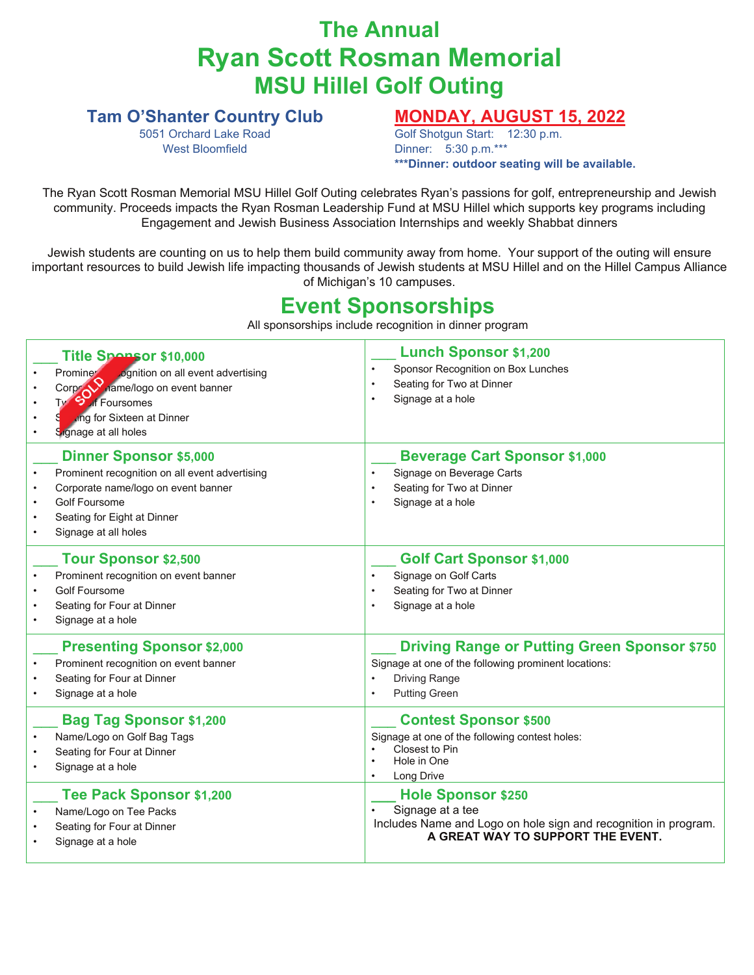## **The Annual Ryan Scott Rosman Memorial MSU Hillel Golf Outing**

#### **Tam O'Shanter Country Club**

5051 Orchard Lake Road West Bloomfield

### **MONDAY, AUGUST 15, 2022**

Golf Shotgun Start: 12:30 p.m. Dinner: 5:30 p.m.\*\*\* **\*\*\*Dinner: outdoor seating will be available.**

The Ryan Scott Rosman Memorial MSU Hillel Golf Outing celebrates Ryan's passions for golf, entrepreneurship and Jewish community. Proceeds impacts the Ryan Rosman Leadership Fund at MSU Hillel which supports key programs including Engagement and Jewish Business Association Internships and weekly Shabbat dinners

Jewish students are counting on us to help them build community away from home. Your support of the outing will ensure important resources to build Jewish life impacting thousands of Jewish students at MSU Hillel and on the Hillel Campus Alliance of Michigan's 10 campuses.

### **Event Sponsorships**

All sponsorships include recognition in dinner program

| Title Spansor \$10,000<br>Promine Cognition on all event advertising<br>Corp Contract of the Corp of Ty<br>ung for Sixteen at Dinner<br>Signage at all holes                                          | <b>Lunch Sponsor \$1,200</b><br>Sponsor Recognition on Box Lunches<br>Seating for Two at Dinner<br>Signage at a hole                                        |  |
|-------------------------------------------------------------------------------------------------------------------------------------------------------------------------------------------------------|-------------------------------------------------------------------------------------------------------------------------------------------------------------|--|
| <b>Dinner Sponsor \$5,000</b><br>Prominent recognition on all event advertising<br>Corporate name/logo on event banner<br><b>Golf Foursome</b><br>Seating for Eight at Dinner<br>Signage at all holes | <b>Beverage Cart Sponsor \$1,000</b><br>Signage on Beverage Carts<br>Seating for Two at Dinner<br>Signage at a hole                                         |  |
| <b>Tour Sponsor \$2,500</b><br>Prominent recognition on event banner<br><b>Golf Foursome</b><br>Seating for Four at Dinner<br>Signage at a hole                                                       | <b>Golf Cart Sponsor \$1,000</b><br>Signage on Golf Carts<br>Seating for Two at Dinner<br>Signage at a hole                                                 |  |
| <b>Presenting Sponsor \$2,000</b><br>Prominent recognition on event banner<br>Seating for Four at Dinner<br>Signage at a hole                                                                         | <b>Driving Range or Putting Green Sponsor \$750</b><br>Signage at one of the following prominent locations:<br><b>Driving Range</b><br><b>Putting Green</b> |  |
| <b>Bag Tag Sponsor \$1,200</b><br>Name/Logo on Golf Bag Tags<br>Seating for Four at Dinner<br>Signage at a hole                                                                                       | <b>Contest Sponsor \$500</b><br>Signage at one of the following contest holes:<br>Closest to Pin<br>Hole in One<br>Long Drive                               |  |
| Tee Pack Sponsor \$1,200<br>Name/Logo on Tee Packs<br>Seating for Four at Dinner<br>Signage at a hole                                                                                                 | <b>Hole Sponsor \$250</b><br>Signage at a tee<br>Includes Name and Logo on hole sign and recognition in program.<br>A GREAT WAY TO SUPPORT THE EVENT.       |  |